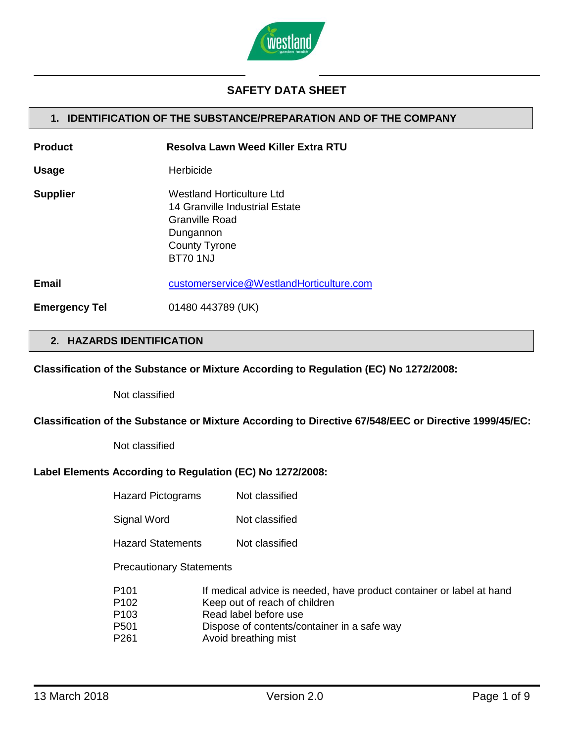

# **SAFETY DATA SHEET**

## **1. IDENTIFICATION OF THE SUBSTANCE/PREPARATION AND OF THE COMPANY**

| <b>Product</b>       | Resolva Lawn Weed Killer Extra RTU                                                                                                           |
|----------------------|----------------------------------------------------------------------------------------------------------------------------------------------|
| <b>Usage</b>         | Herbicide                                                                                                                                    |
| <b>Supplier</b>      | <b>Westland Horticulture Ltd</b><br>14 Granville Industrial Estate<br>Granville Road<br>Dungannon<br><b>County Tyrone</b><br><b>BT70 1NJ</b> |
| Email                | customerservice@WestlandHorticulture.com                                                                                                     |
| <b>Emergency Tel</b> | 01480 443789 (UK)                                                                                                                            |

# **2. HAZARDS IDENTIFICATION**

#### **Classification of the Substance or Mixture According to Regulation (EC) No 1272/2008:**

Not classified

#### **Classification of the Substance or Mixture According to Directive 67/548/EEC or Directive 1999/45/EC:**

Not classified

#### **Label Elements According to Regulation (EC) No 1272/2008:**

| <b>Hazard Pictograms</b>                                                                         | Not classified                                                                                                                                                                                        |
|--------------------------------------------------------------------------------------------------|-------------------------------------------------------------------------------------------------------------------------------------------------------------------------------------------------------|
| Signal Word                                                                                      | Not classified                                                                                                                                                                                        |
| <b>Hazard Statements</b>                                                                         | Not classified                                                                                                                                                                                        |
| <b>Precautionary Statements</b>                                                                  |                                                                                                                                                                                                       |
| P <sub>101</sub><br>P <sub>102</sub><br>P <sub>103</sub><br>P <sub>501</sub><br>P <sub>261</sub> | If medical advice is needed, have product container or label at hand<br>Keep out of reach of children<br>Read label before use<br>Dispose of contents/container in a safe way<br>Avoid breathing mist |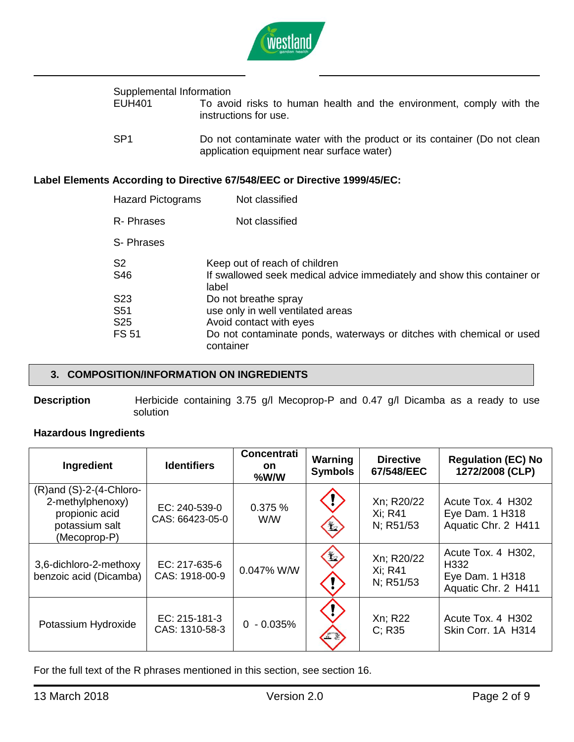

# Supplemental Information<br>EUH401 To avo

- To avoid risks to human health and the environment, comply with the instructions for use.
- SP1 Do not contaminate water with the product or its container (Do not clean application equipment near surface water)

## **Label Elements According to Directive 67/548/EEC or Directive 1999/45/EC:**

| <b>Hazard Pictograms</b> | Not classified                                                                                                    |
|--------------------------|-------------------------------------------------------------------------------------------------------------------|
| R-Phrases                | Not classified                                                                                                    |
| S-Phrases                |                                                                                                                   |
| S <sub>2</sub><br>S46    | Keep out of reach of children<br>If swallowed seek medical advice immediately and show this container or<br>label |
| S <sub>23</sub>          | Do not breathe spray                                                                                              |
| S <sub>51</sub>          | use only in well ventilated areas                                                                                 |
| S <sub>25</sub>          | Avoid contact with eyes                                                                                           |
| <b>FS 51</b>             | Do not contaminate ponds, waterways or ditches with chemical or used<br>container                                 |

## **3. COMPOSITION/INFORMATION ON INGREDIENTS**

**Description** Herbicide containing 3.75 g/l Mecoprop-P and 0.47 g/l Dicamba as a ready to use solution

## **Hazardous Ingredients**

| Ingredient                                                                                           | <b>Identifiers</b>               | <b>Concentrati</b><br><b>on</b><br>%W/W | Warning<br><b>Symbols</b> | <b>Directive</b><br>67/548/EEC     | <b>Regulation (EC) No</b><br>1272/2008 (CLP)                         |
|------------------------------------------------------------------------------------------------------|----------------------------------|-----------------------------------------|---------------------------|------------------------------------|----------------------------------------------------------------------|
| $(R)$ and $(S)-2-(4-Chloro-$<br>2-methylphenoxy)<br>propionic acid<br>potassium salt<br>(Mecoprop-P) | EC: 240-539-0<br>CAS: 66423-05-0 | 0.375 %<br>W/W                          | $\mathbf{1}$              | Xn; R20/22<br>Xi; R41<br>N; R51/53 | Acute Tox, 4 H302<br>Eye Dam. 1 H318<br>Aquatic Chr. 2 H411          |
| 3,6-dichloro-2-methoxy<br>benzoic acid (Dicamba)                                                     | EC: 217-635-6<br>CAS: 1918-00-9  | 0.047% W/W                              | $\frac{1}{2}$             | Xn; R20/22<br>Xi: R41<br>N; R51/53 | Acute Tox. 4 H302,<br>H332<br>Eye Dam. 1 H318<br>Aquatic Chr. 2 H411 |
| Potassium Hydroxide                                                                                  | EC: 215-181-3<br>CAS: 1310-58-3  | $0 - 0.035%$                            |                           | Xn; R22<br>C: R35                  | Acute Tox. 4 H302<br>Skin Corr, 1A H314                              |

For the full text of the R phrases mentioned in this section, see section 16.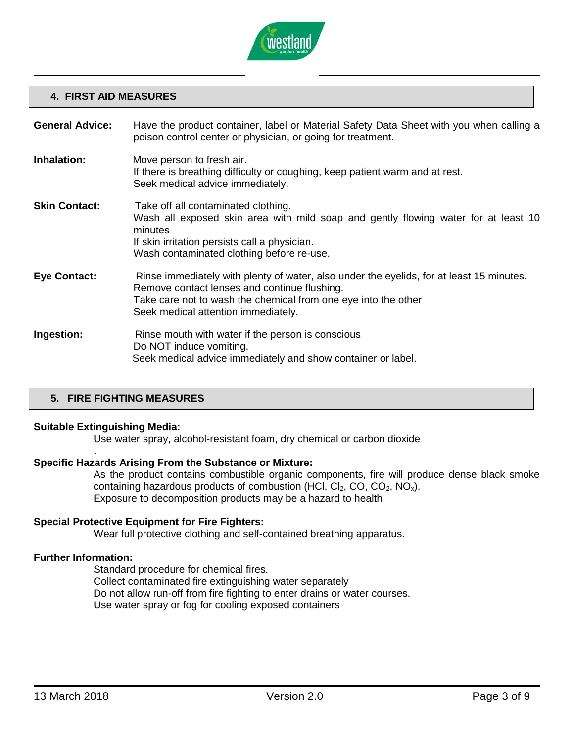

## **4. FIRST AID MEASURES**

| <b>General Advice:</b> | Have the product container, label or Material Safety Data Sheet with you when calling a<br>poison control center or physician, or going for treatment.                                                                                            |
|------------------------|---------------------------------------------------------------------------------------------------------------------------------------------------------------------------------------------------------------------------------------------------|
| Inhalation:            | Move person to fresh air.<br>If there is breathing difficulty or coughing, keep patient warm and at rest.<br>Seek medical advice immediately.                                                                                                     |
| <b>Skin Contact:</b>   | Take off all contaminated clothing.<br>Wash all exposed skin area with mild soap and gently flowing water for at least 10<br>minutes<br>If skin irritation persists call a physician.<br>Wash contaminated clothing before re-use.                |
| <b>Eye Contact:</b>    | Rinse immediately with plenty of water, also under the eyelids, for at least 15 minutes.<br>Remove contact lenses and continue flushing.<br>Take care not to wash the chemical from one eye into the other<br>Seek medical attention immediately. |
| Ingestion:             | Rinse mouth with water if the person is conscious<br>Do NOT induce vomiting.<br>Seek medical advice immediately and show container or label.                                                                                                      |

## **5. FIRE FIGHTING MEASURES**

## **Suitable Extinguishing Media:**

.

Use water spray, alcohol-resistant foam, dry chemical or carbon dioxide

#### **Specific Hazards Arising From the Substance or Mixture:**

As the product contains combustible organic components, fire will produce dense black smoke containing hazardous products of combustion (HCl,  $Cl_2$ , CO,  $CO_2$ , NO<sub>x</sub>). Exposure to decomposition products may be a hazard to health

## **Special Protective Equipment for Fire Fighters:**

Wear full protective clothing and self-contained breathing apparatus.

## **Further Information:**

Standard procedure for chemical fires. Collect contaminated fire extinguishing water separately Do not allow run-off from fire fighting to enter drains or water courses. Use water spray or fog for cooling exposed containers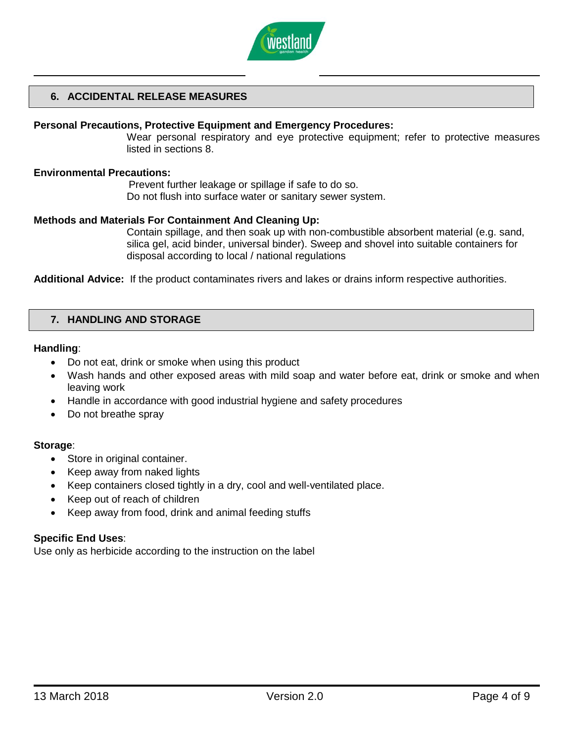

## **6. ACCIDENTAL RELEASE MEASURES**

#### **Personal Precautions, Protective Equipment and Emergency Procedures:**

Wear personal respiratory and eye protective equipment; refer to protective measures listed in sections 8.

#### **Environmental Precautions:**

Prevent further leakage or spillage if safe to do so. Do not flush into surface water or sanitary sewer system.

#### **Methods and Materials For Containment And Cleaning Up:**

Contain spillage, and then soak up with non-combustible absorbent material (e.g. sand, silica gel, acid binder, universal binder). Sweep and shovel into suitable containers for disposal according to local / national regulations

**Additional Advice:** If the product contaminates rivers and lakes or drains inform respective authorities.

## **7. HANDLING AND STORAGE**

#### **Handling**:

- Do not eat, drink or smoke when using this product
- Wash hands and other exposed areas with mild soap and water before eat, drink or smoke and when leaving work
- Handle in accordance with good industrial hygiene and safety procedures
- Do not breathe spray

#### **Storage**:

- Store in original container.
- Keep away from naked lights
- Keep containers closed tightly in a dry, cool and well-ventilated place.
- Keep out of reach of children
- Keep away from food, drink and animal feeding stuffs

#### **Specific End Uses**:

Use only as herbicide according to the instruction on the label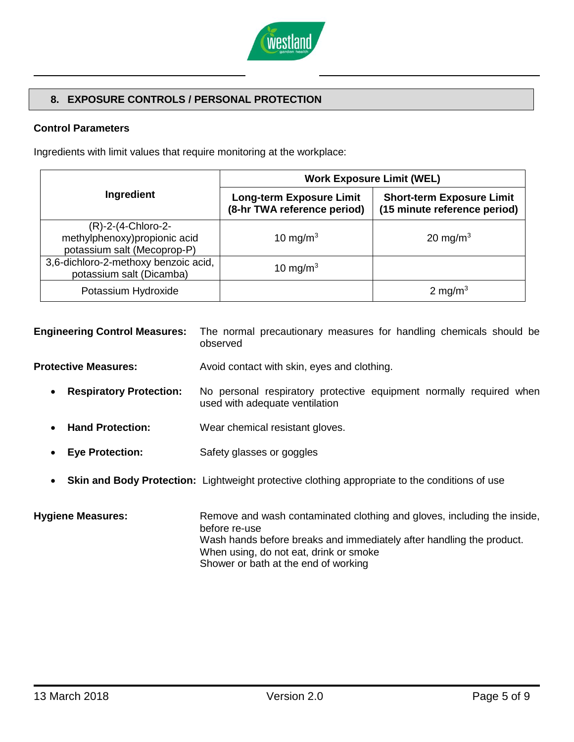

## **8. EXPOSURE CONTROLS / PERSONAL PROTECTION**

## **Control Parameters**

Ingredients with limit values that require monitoring at the workplace:

|                                                                                   | <b>Work Exposure Limit (WEL)</b>                               |                                                                  |  |
|-----------------------------------------------------------------------------------|----------------------------------------------------------------|------------------------------------------------------------------|--|
| Ingredient                                                                        | <b>Long-term Exposure Limit</b><br>(8-hr TWA reference period) | <b>Short-term Exposure Limit</b><br>(15 minute reference period) |  |
| (R)-2-(4-Chloro-2-<br>methylphenoxy)propionic acid<br>potassium salt (Mecoprop-P) | 10 mg/m $3$                                                    | 20 mg/m <sup>3</sup>                                             |  |
| 3,6-dichloro-2-methoxy benzoic acid,<br>potassium salt (Dicamba)                  | 10 mg/m <sup>3</sup>                                           |                                                                  |  |
| Potassium Hydroxide                                                               |                                                                | 2 mg/m <sup>3</sup>                                              |  |

| <b>Engineering Control Measures:</b>        | The normal precautionary measures for handling chemicals should be<br>observed                        |
|---------------------------------------------|-------------------------------------------------------------------------------------------------------|
| <b>Protective Measures:</b>                 | Avoid contact with skin, eyes and clothing.                                                           |
| <b>Respiratory Protection:</b><br>$\bullet$ | No personal respiratory protective equipment normally required when<br>used with adequate ventilation |
| <b>Hand Protection:</b>                     | Wear chemical resistant gloves.                                                                       |
| <b>Eye Protection:</b>                      | Safety glasses or goggles                                                                             |
| $\bullet$                                   | <b>Skin and Body Protection:</b> Lightweight protective clothing appropriate to the conditions of use |

**Hygiene Measures:** Remove and wash contaminated clothing and gloves, including the inside, before re-use Wash hands before breaks and immediately after handling the product. When using, do not eat, drink or smoke Shower or bath at the end of working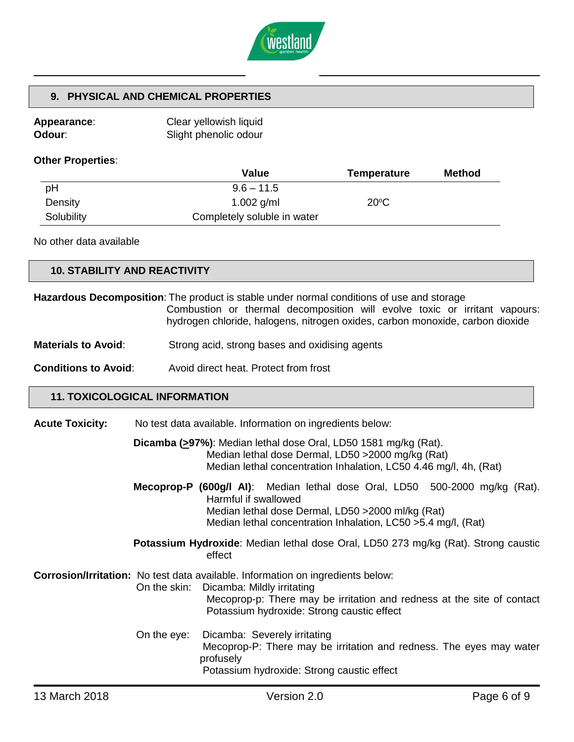

# **9. PHYSICAL AND CHEMICAL PROPERTIES**

| <b>Appearance:</b> | Clear yellowish liquid |
|--------------------|------------------------|
| Odour∶             | Slight phenolic odour  |

## **Other Properties**:

|            | <b>Value</b>                | Temperature    | <b>Method</b> |
|------------|-----------------------------|----------------|---------------|
| pH         | $9.6 - 11.5$                |                |               |
| Density    | 1.002 $g/ml$                | $20^{\circ}$ C |               |
| Solubility | Completely soluble in water |                |               |

No other data available

| <b>10. STABILITY AND REACTIVITY</b> |  |
|-------------------------------------|--|
|                                     |  |

|                                      |              | <b>Hazardous Decomposition:</b> The product is stable under normal conditions of use and storage<br>Combustion or thermal decomposition will evolve toxic or irritant vapours:<br>hydrogen chloride, halogens, nitrogen oxides, carbon monoxide, carbon dioxide |
|--------------------------------------|--------------|-----------------------------------------------------------------------------------------------------------------------------------------------------------------------------------------------------------------------------------------------------------------|
| <b>Materials to Avoid:</b>           |              | Strong acid, strong bases and oxidising agents                                                                                                                                                                                                                  |
| <b>Conditions to Avoid:</b>          |              | Avoid direct heat. Protect from frost                                                                                                                                                                                                                           |
| <b>11. TOXICOLOGICAL INFORMATION</b> |              |                                                                                                                                                                                                                                                                 |
| <b>Acute Toxicity:</b>               |              | No test data available. Information on ingredients below:                                                                                                                                                                                                       |
|                                      |              | Dicamba (>97%): Median lethal dose Oral, LD50 1581 mg/kg (Rat).<br>Median lethal dose Dermal, LD50 >2000 mg/kg (Rat)<br>Median lethal concentration Inhalation, LC50 4.46 mg/l, 4h, (Rat)                                                                       |
|                                      |              | Mecoprop-P (600g/l AI): Median lethal dose Oral, LD50 500-2000 mg/kg (Rat).<br>Harmful if swallowed<br>Median lethal dose Dermal, LD50 > 2000 ml/kg (Rat)<br>Median lethal concentration Inhalation, LC50 > 5.4 mg/l, (Rat)                                     |
|                                      |              | Potassium Hydroxide: Median lethal dose Oral, LD50 273 mg/kg (Rat). Strong caustic<br>effect                                                                                                                                                                    |
|                                      | On the skin: | Corrosion/Irritation: No test data available. Information on ingredients below:<br>Dicamba: Mildly irritating<br>Mecoprop-p: There may be irritation and redness at the site of contact<br>Potassium hydroxide: Strong caustic effect                           |
|                                      | On the eye:  | Dicamba: Severely irritating<br>Mecoprop-P: There may be irritation and redness. The eyes may water<br>profusely<br>Potassium hydroxide: Strong caustic effect                                                                                                  |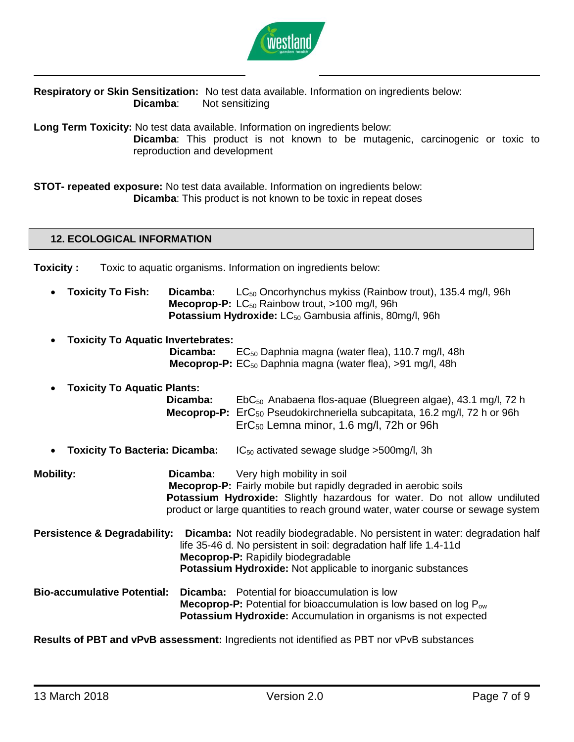

**Respiratory or Skin Sensitization:** No test data available. Information on ingredients below: **Dicamba**: Not sensitizing

**Long Term Toxicity:** No test data available. Information on ingredients below:

**Dicamba**: This product is not known to be mutagenic, carcinogenic or toxic to reproduction and development

**STOT- repeated exposure:** No test data available. Information on ingredients below: **Dicamba**: This product is not known to be toxic in repeat doses

## **12. ECOLOGICAL INFORMATION**

**Toxicity :** Toxic to aquatic organisms. Information on ingredients below:

- **Toxicity To Fish: Dicamba:** LC<sub>50</sub> Oncorhynchus mykiss (Rainbow trout), 135.4 mg/l, 96h **Mecoprop-P:** LC<sub>50</sub> Rainbow trout, >100 mg/l, 96h **Potassium Hydroxide:** LC<sub>50</sub> Gambusia affinis, 80mg/l, 96h
- **Toxicity To Aquatic Invertebrates: Dicamba:** EC<sub>50</sub> Daphnia magna (water flea), 110.7 mg/l, 48h **Mecoprop-P:** EC<sub>50</sub> Daphnia magna (water flea), >91 mg/l, 48h
- **Toxicity To Aquatic Plants: Dicamba:** EbC<sub>50</sub> Anabaena flos-aquae (Bluegreen algae), 43.1 mg/l, 72 h **Mecoprop-P:** ErC<sup>50</sup> Pseudokirchneriella subcapitata, 16.2 mg/l, 72 h or 96h ErC<sup>50</sup> Lemna minor, 1.6 mg/l, 72h or 96h
- **Toxicity To Bacteria: Dicamba:** IC<sub>50</sub> activated sewage sludge >500mg/l, 3h

**Mobility: Dicamba:** Very high mobility in soil **Mecoprop-P:** Fairly mobile but rapidly degraded in aerobic soils **Potassium Hydroxide:** Slightly hazardous for water. Do not allow undiluted product or large quantities to reach ground water, water course or sewage system

**Persistence & Degradability: Dicamba:** Not readily biodegradable. No persistent in water: degradation half life 35-46 d. No persistent in soil: degradation half life 1.4-11d **Mecoprop-P:** Rapidily biodegradable **Potassium Hydroxide:** Not applicable to inorganic substances

**Bio-accumulative Potential: Dicamba:** Potential for bioaccumulation is low **Mecoprop-P:** Potential for bioaccumulation is low based on log P<sub>ow</sub> **Potassium Hydroxide:** Accumulation in organisms is not expected

**Results of PBT and vPvB assessment:** Ingredients not identified as PBT nor vPvB substances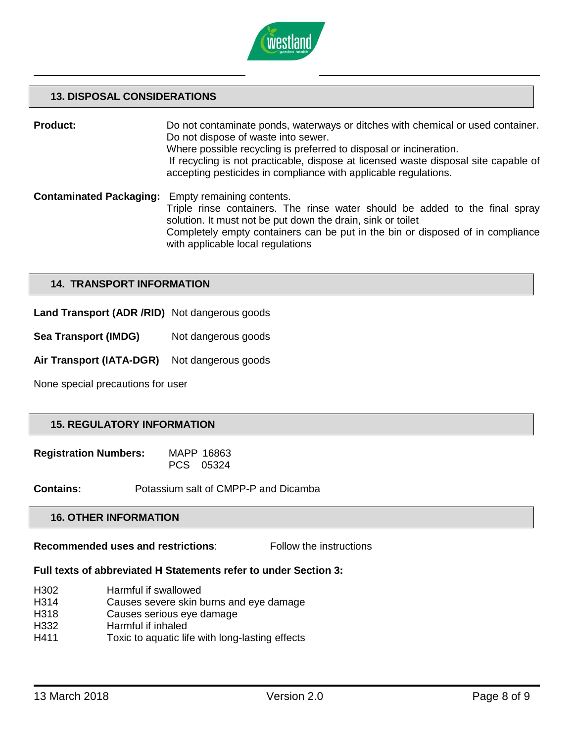

## **13. DISPOSAL CONSIDERATIONS**

**Product:** Do not contaminate ponds, waterways or ditches with chemical or used container. Do not dispose of waste into sewer. Where possible recycling is preferred to disposal or incineration. If recycling is not practicable, dispose at licensed waste disposal site capable of accepting pesticides in compliance with applicable regulations.

**Contaminated Packaging:** Empty remaining contents. Triple rinse containers. The rinse water should be added to the final spray solution. It must not be put down the drain, sink or toilet Completely empty containers can be put in the bin or disposed of in compliance with applicable local regulations

## **14. TRANSPORT INFORMATION**

- **Land Transport (ADR /RID)** Not dangerous goods
- **Sea Transport (IMDG)** Not dangerous goods
- **Air Transport (IATA-DGR)** Not dangerous goods

None special precautions for user

#### **15. REGULATORY INFORMATION**

| <b>Registration Numbers:</b> | MAPP 16863 |
|------------------------------|------------|
|                              | PCS 05324  |

**Contains:** Potassium salt of CMPP-P and Dicamba

#### **16. OTHER INFORMATION**

**Recommended uses and restrictions:** Follow the instructions

#### **Full texts of abbreviated H Statements refer to under Section 3:**

- H302 Harmful if swallowed
- H314 Causes severe skin burns and eye damage
- H318 Causes serious eye damage
- H332 Harmful if inhaled
- H411 Toxic to aquatic life with long-lasting effects